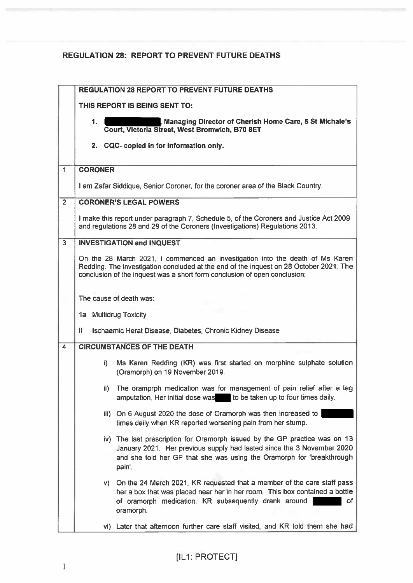## REGULATION 28: REPORT TO PREVENT FUTURE DEATHS

|                         | <b>REGULATION 28 REPORT TO PREVENT FUTURE DEATHS</b>                                                                                                                                                                                                 |    |  |
|-------------------------|------------------------------------------------------------------------------------------------------------------------------------------------------------------------------------------------------------------------------------------------------|----|--|
|                         | THIS REPORT IS BEING SENT TO:                                                                                                                                                                                                                        |    |  |
|                         | Managing Director of Cherish Home Care, 5 St Michale's<br>1.<br>Court, Victoria Street, West Bromwich, B70 8ET                                                                                                                                       |    |  |
|                         | 2. CQC- copied in for information only.                                                                                                                                                                                                              |    |  |
| $\overline{\mathbf{1}}$ | <b>CORONER</b>                                                                                                                                                                                                                                       |    |  |
|                         | I am Zafar Siddique, Senior Coroner, for the coroner area of the Black Country.                                                                                                                                                                      |    |  |
| $\overline{2}$          | <b>CORONER'S LEGAL POWERS</b>                                                                                                                                                                                                                        |    |  |
|                         | I make this report under paragraph 7, Schedule 5, of the Coroners and Justice Act 2009<br>and regulations 28 and 29 of the Coroners (Investigations) Regulations 2013.                                                                               |    |  |
| $\overline{3}$          | <b>INVESTIGATION and INQUEST</b>                                                                                                                                                                                                                     |    |  |
|                         | On the 28 March 2021, I commenced an investigation into the death of Ms Karen<br>Redding. The investigation concluded at the end of the inquest on 28 October 2021. The<br>conclusion of the inquest was a short form conclusion of open conclusion: |    |  |
|                         | The cause of death was:                                                                                                                                                                                                                              |    |  |
|                         | 1a Multidrug Toxicity                                                                                                                                                                                                                                |    |  |
|                         | Ħ<br>Ischaemic Herat Disease, Diabetes, Chronic Kidney Disease                                                                                                                                                                                       |    |  |
| $\overline{4}$          | <b>CIRCUMSTANCES OF THE DEATH</b>                                                                                                                                                                                                                    |    |  |
|                         | Ms Karen Redding (KR) was first started on morphine sulphate solution<br>i).<br>(Oramorph) on 19 November 2019.                                                                                                                                      |    |  |
|                         | The oramprph medication was for management of pain relief after a leg<br>ii).<br>to be taken up to four times daily.<br>amputation. Her initial dose was                                                                                             |    |  |
|                         | iii) On 6 August 2020 the dose of Oramorph was then increased to<br>times daily when KR reported worsening pain from her stump.                                                                                                                      |    |  |
|                         | iv) The last prescription for Oramorph issued by the GP practice was on 13<br>January 2021. Her previous supply had lasted since the 3 November 2020<br>and she told her GP that she was using the Oramorph for 'breakthrough<br>pain'.              |    |  |
|                         | On the 24 March 2021, KR requested that a member of the care staff pass<br>V<br>her a box that was placed near her in her room. This box contained a bottle<br>of oramorph medication. KR subsequently drank around<br>oramorph.                     | 0f |  |
|                         | vi) Later that afternoon further care staff visited, and KR told them she had                                                                                                                                                                        |    |  |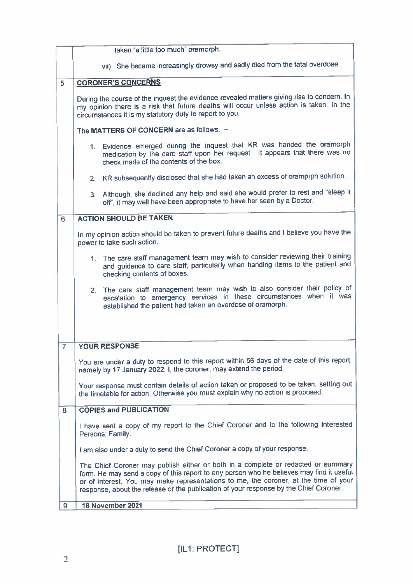|   | taken "a little too much" oramorph.                                                                                                                                                                                                                                                                                                                            |  |  |
|---|----------------------------------------------------------------------------------------------------------------------------------------------------------------------------------------------------------------------------------------------------------------------------------------------------------------------------------------------------------------|--|--|
|   | vii) She became increasingly drowsy and sadly died from the fatal overdose.                                                                                                                                                                                                                                                                                    |  |  |
| 5 | <b>CORONER'S CONCERNS</b>                                                                                                                                                                                                                                                                                                                                      |  |  |
|   | During the course of the inquest the evidence revealed matters giving rise to concern. In<br>my opinion there is a risk that future deaths will occur unless action is taken. In the<br>circumstances it is my statutory duty to report to you.                                                                                                                |  |  |
|   | The MATTERS OF CONCERN are as follows. -                                                                                                                                                                                                                                                                                                                       |  |  |
|   | 1. Evidence emerged during the inquest that KR was handed the oramorph<br>medication by the care staff upon her request. It appears that there was no<br>check made of the contents of the box.                                                                                                                                                                |  |  |
|   | 2. KR subsequently disclosed that she had taken an excess of oramprph solution.                                                                                                                                                                                                                                                                                |  |  |
|   | 3. Although, she declined any help and said she would prefer to rest and "sleep it<br>off', it may well have been appropriate to have her seen by a Doctor.                                                                                                                                                                                                    |  |  |
| 6 | <b>ACTION SHOULD BE TAKEN</b>                                                                                                                                                                                                                                                                                                                                  |  |  |
|   | In my opinion action should be taken to prevent future deaths and I believe you have the<br>power to take such action.                                                                                                                                                                                                                                         |  |  |
|   | 1. The care staff management team may wish to consider reviewing their training<br>and guidance to care staff, particularly when handing items to the patient and<br>checking contents of boxes.                                                                                                                                                               |  |  |
|   | 2. The care staff management team may wish to also consider their policy of<br>escalation to emergency services in these circumstances when it was<br>established the patient had taken an overdose of oramorph.                                                                                                                                               |  |  |
| 7 | <b>YOUR RESPONSE</b>                                                                                                                                                                                                                                                                                                                                           |  |  |
|   | You are under a duty to respond to this report within 56 days of the date of this report.<br>namely by 17 January 2022. I, the coroner, may extend the period.                                                                                                                                                                                                 |  |  |
|   | Your response must contain details of action taken or proposed to be taken, setting out<br>the timetable for action. Otherwise you must explain why no action is proposed.                                                                                                                                                                                     |  |  |
| 8 | <b>COPIES and PUBLICATION</b>                                                                                                                                                                                                                                                                                                                                  |  |  |
|   | I have sent a copy of my report to the Chief Coroner and to the following Interested<br>Persons; Family.                                                                                                                                                                                                                                                       |  |  |
|   | I am also under a duty to send the Chief Coroner a copy of your response.                                                                                                                                                                                                                                                                                      |  |  |
|   | The Chief Coroner may publish either or both in a complete or redacted or summary<br>form. He may send a copy of this report to any person who he believes may find it useful<br>or of interest. You may make representations to me, the coroner, at the time of your<br>response, about the release or the publication of your response by the Chief Coroner. |  |  |
| 9 | 18 November 2021                                                                                                                                                                                                                                                                                                                                               |  |  |